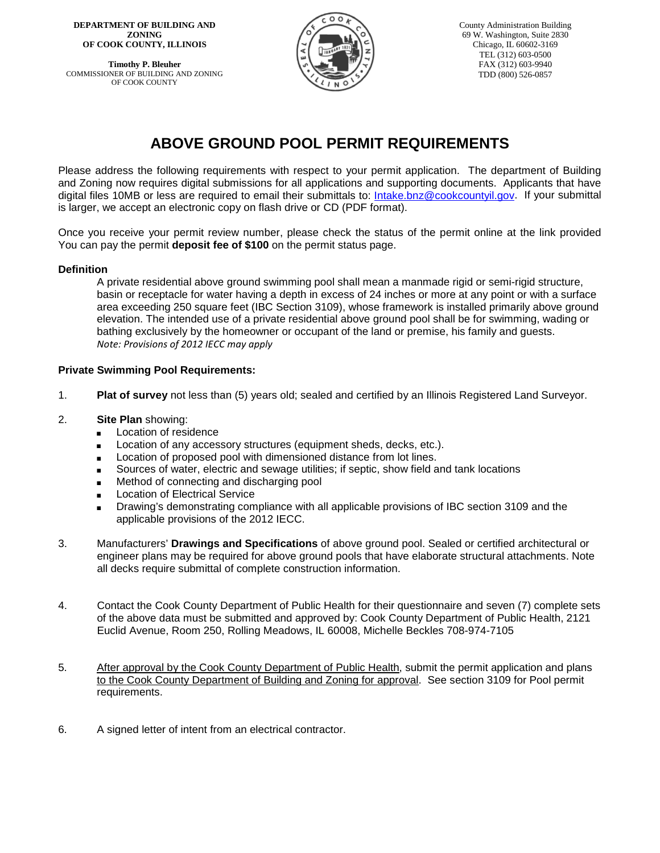**DEPARTMENT OF BUILDING AND ZONING OF COOK COUNTY, ILLINOIS**

**Timothy P. Bleuher** COMMISSIONER OF BUILDING AND ZONING OF COOK COUNTY



County Administration Building 69 W. Washington, Suite 2830 Chicago, IL 60602-3169 TEL (312) 603-0500 FAX (312) 603-9940 TDD (800) 526-0857

# **ABOVE GROUND POOL PERMIT REQUIREMENTS**

Please address the following requirements with respect to your permit application. The department of Building and Zoning now requires digital submissions for all applications and supporting documents. Applicants that have digital files 10MB or less are required to email their submittals to: [Intake.bnz@cookcountyil.gov.](mailto:Intake.bnz@cookcountyil.gov) If your submittal is larger, we accept an electronic copy on flash drive or CD (PDF format).

Once you receive your permit review number, please check the status of the permit online at the link provided You can pay the permit **deposit fee of \$100** on the permit status page.

#### **Definition**

A private residential above ground swimming pool shall mean a manmade rigid or semi-rigid structure, basin or receptacle for water having a depth in excess of 24 inches or more at any point or with a surface area exceeding 250 square feet (IBC Section 3109), whose framework is installed primarily above ground elevation. The intended use of a private residential above ground pool shall be for swimming, wading or bathing exclusively by the homeowner or occupant of the land or premise, his family and guests. *Note: Provisions of 2012 IECC may apply*

#### **Private Swimming Pool Requirements:**

- 1. **Plat of survey** not less than (5) years old; sealed and certified by an Illinois Registered Land Surveyor.
- 2. **Site Plan** showing:
	- **Location of residence**
	- **EXEC** Location of any accessory structures (equipment sheds, decks, etc.).
	- **EXECT** Location of proposed pool with dimensioned distance from lot lines.
	- **Sources of water, electric and sewage utilities; if septic, show field and tank locations**
	- **EXECTE Method of connecting and discharging pool**
	- **Exercise** Location of Electrical Service
	- **EXECT** Drawing's demonstrating compliance with all applicable provisions of IBC section 3109 and the applicable provisions of the 2012 IECC.
- 3. Manufacturers' **Drawings and Specifications** of above ground pool. Sealed or certified architectural or engineer plans may be required for above ground pools that have elaborate structural attachments. Note all decks require submittal of complete construction information.
- 4. Contact the Cook County Department of Public Health for their questionnaire and seven (7) complete sets of the above data must be submitted and approved by: Cook County Department of Public Health, 2121 Euclid Avenue, Room 250, Rolling Meadows, IL 60008, Michelle Beckles 708-974-7105
- 5. After approval by the Cook County Department of Public Health, submit the permit application and plans to the Cook County Department of Building and Zoning for approval. See section 3109 for Pool permit requirements.
- 6. A signed letter of intent from an electrical contractor.